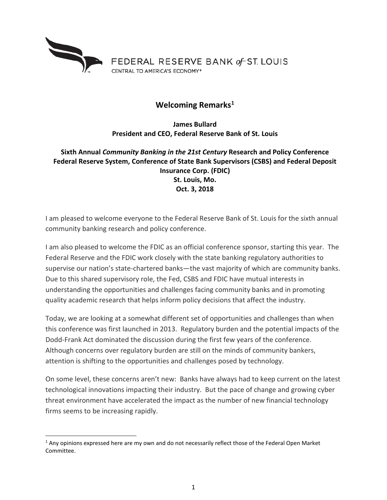

## **Welcoming Remarks[1](#page-0-0)**

**James Bullard President and CEO, Federal Reserve Bank of St. Louis**

**Sixth Annual** *Community Banking in the 21st Century* **Research and Policy Conference Federal Reserve System, Conference of State Bank Supervisors (CSBS) and Federal Deposit Insurance Corp. (FDIC) St. Louis, Mo. Oct. 3, 2018**

I am pleased to welcome everyone to the Federal Reserve Bank of St. Louis for the sixth annual community banking research and policy conference.

I am also pleased to welcome the FDIC as an official conference sponsor, starting this year. The Federal Reserve and the FDIC work closely with the state banking regulatory authorities to supervise our nation's state-chartered banks—the vast majority of which are community banks. Due to this shared supervisory role, the Fed, CSBS and FDIC have mutual interests in understanding the opportunities and challenges facing community banks and in promoting quality academic research that helps inform policy decisions that affect the industry.

Today, we are looking at a somewhat different set of opportunities and challenges than when this conference was first launched in 2013. Regulatory burden and the potential impacts of the Dodd-Frank Act dominated the discussion during the first few years of the conference. Although concerns over regulatory burden are still on the minds of community bankers, attention is shifting to the opportunities and challenges posed by technology.

On some level, these concerns aren't new: Banks have always had to keep current on the latest technological innovations impacting their industry. But the pace of change and growing cyber threat environment have accelerated the impact as the number of new financial technology firms seems to be increasing rapidly.

<span id="page-0-0"></span> $1$  Any opinions expressed here are my own and do not necessarily reflect those of the Federal Open Market Committee.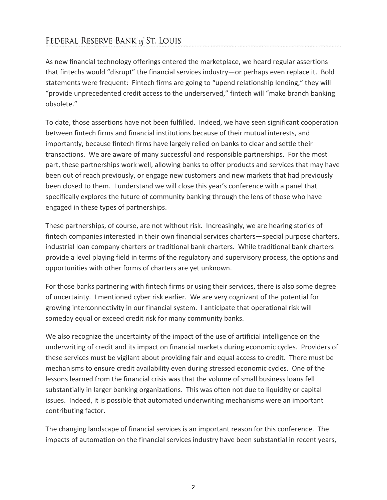## FEDERAL RESERVE BANK of ST. LOUIS

As new financial technology offerings entered the marketplace, we heard regular assertions that fintechs would "disrupt" the financial services industry—or perhaps even replace it. Bold statements were frequent: Fintech firms are going to "upend relationship lending," they will "provide unprecedented credit access to the underserved," fintech will "make branch banking obsolete."

To date, those assertions have not been fulfilled. Indeed, we have seen significant cooperation between fintech firms and financial institutions because of their mutual interests, and importantly, because fintech firms have largely relied on banks to clear and settle their transactions. We are aware of many successful and responsible partnerships. For the most part, these partnerships work well, allowing banks to offer products and services that may have been out of reach previously, or engage new customers and new markets that had previously been closed to them. I understand we will close this year's conference with a panel that specifically explores the future of community banking through the lens of those who have engaged in these types of partnerships.

These partnerships, of course, are not without risk. Increasingly, we are hearing stories of fintech companies interested in their own financial services charters—special purpose charters, industrial loan company charters or traditional bank charters. While traditional bank charters provide a level playing field in terms of the regulatory and supervisory process, the options and opportunities with other forms of charters are yet unknown.

For those banks partnering with fintech firms or using their services, there is also some degree of uncertainty. I mentioned cyber risk earlier. We are very cognizant of the potential for growing interconnectivity in our financial system. I anticipate that operational risk will someday equal or exceed credit risk for many community banks.

We also recognize the uncertainty of the impact of the use of artificial intelligence on the underwriting of credit and its impact on financial markets during economic cycles. Providers of these services must be vigilant about providing fair and equal access to credit. There must be mechanisms to ensure credit availability even during stressed economic cycles. One of the lessons learned from the financial crisis was that the volume of small business loans fell substantially in larger banking organizations. This was often not due to liquidity or capital issues. Indeed, it is possible that automated underwriting mechanisms were an important contributing factor.

The changing landscape of financial services is an important reason for this conference. The impacts of automation on the financial services industry have been substantial in recent years,